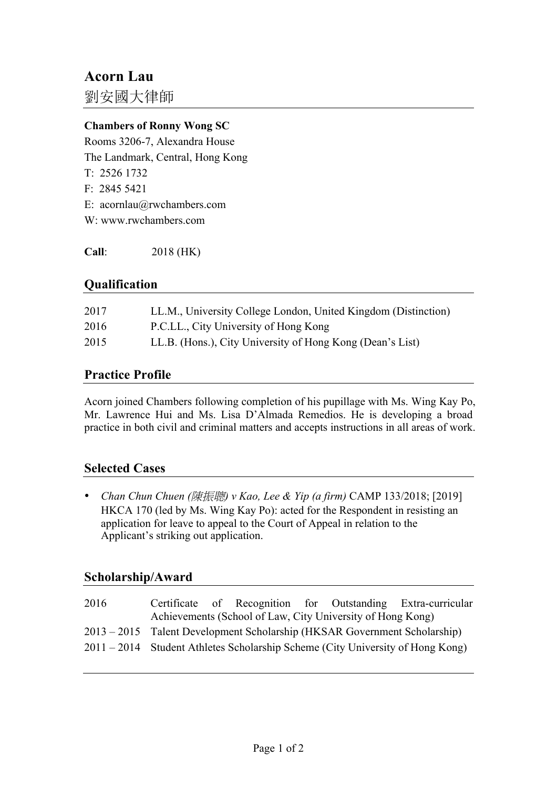# **Acorn Lau**

劉安國大律師

#### **Chambers of Ronny Wong SC**

Rooms 3206-7, Alexandra House The Landmark, Central, Hong Kong T: 2526 1732 F: 2845 5421 E: acornlau@rwchambers.com W: www.rwchambers.com

**Call**: 2018 (HK)

#### **Qualification**

| 2017 | LL.M., University College London, United Kingdom (Distinction) |
|------|----------------------------------------------------------------|
| 2016 | P.C.L.L., City University of Hong Kong                         |
| 2015 | LL.B. (Hons.), City University of Hong Kong (Dean's List)      |

#### **Practice Profile**

Acorn joined Chambers following completion of his pupillage with Ms. Wing Kay Po, Mr. Lawrence Hui and Ms. Lisa D'Almada Remedios. He is developing a broad practice in both civil and criminal matters and accepts instructions in all areas of work.

## **Selected Cases**

• *Chan Chun Chuen (*陳振聰*) v Kao, Lee & Yip (a firm)* CAMP 133/2018; [2019] HKCA 170 (led by Ms. Wing Kay Po): acted for the Respondent in resisting an application for leave to appeal to the Court of Appeal in relation to the Applicant's striking out application.

## **Scholarship/Award**

| 2016 |                                                                                |  |  |  |  | Certificate of Recognition for Outstanding Extra-curricular |  |
|------|--------------------------------------------------------------------------------|--|--|--|--|-------------------------------------------------------------|--|
|      | Achievements (School of Law, City University of Hong Kong)                     |  |  |  |  |                                                             |  |
|      | 2013 – 2015 Talent Development Scholarship (HKSAR Government Scholarship)      |  |  |  |  |                                                             |  |
|      | 2011 – 2014 Student Athletes Scholarship Scheme (City University of Hong Kong) |  |  |  |  |                                                             |  |
|      |                                                                                |  |  |  |  |                                                             |  |